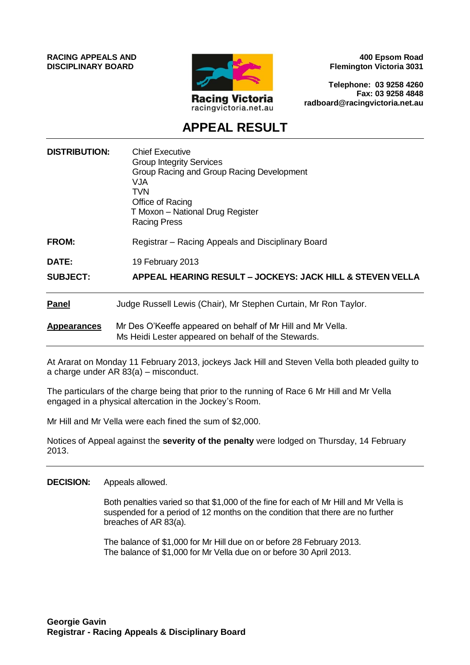**RACING APPEALS AND DISCIPLINARY BOARD**



**400 Epsom Road Flemington Victoria 3031**

**Telephone: 03 9258 4260 Fax: 03 9258 4848 radboard@racingvictoria.net.au**

## **APPEAL RESULT**

| <b>DISTRIBUTION:</b> | <b>Chief Executive</b><br><b>Group Integrity Services</b><br>Group Racing and Group Racing Development<br>VJA<br>TVN<br>Office of Racing<br>T Moxon - National Drug Register<br><b>Racing Press</b> |
|----------------------|-----------------------------------------------------------------------------------------------------------------------------------------------------------------------------------------------------|
| <b>FROM:</b>         | Registrar – Racing Appeals and Disciplinary Board                                                                                                                                                   |
| DATE:                | 19 February 2013                                                                                                                                                                                    |
| <b>SUBJECT:</b>      | APPEAL HEARING RESULT – JOCKEYS: JACK HILL & STEVEN VELLA                                                                                                                                           |
| <b>Panel</b>         | Judge Russell Lewis (Chair), Mr Stephen Curtain, Mr Ron Taylor.                                                                                                                                     |
| <b>Appearances</b>   | Mr Des O'Keeffe appeared on behalf of Mr Hill and Mr Vella.<br>Ms Heidi Lester appeared on behalf of the Stewards.                                                                                  |

At Ararat on Monday 11 February 2013, jockeys Jack Hill and Steven Vella both pleaded guilty to a charge under AR 83(a) – misconduct.

The particulars of the charge being that prior to the running of Race 6 Mr Hill and Mr Vella engaged in a physical altercation in the Jockey's Room.

Mr Hill and Mr Vella were each fined the sum of \$2,000.

Notices of Appeal against the **severity of the penalty** were lodged on Thursday, 14 February 2013.

**DECISION:** Appeals allowed.

Both penalties varied so that \$1,000 of the fine for each of Mr Hill and Mr Vella is suspended for a period of 12 months on the condition that there are no further breaches of AR 83(a).

The balance of \$1,000 for Mr Hill due on or before 28 February 2013. The balance of \$1,000 for Mr Vella due on or before 30 April 2013.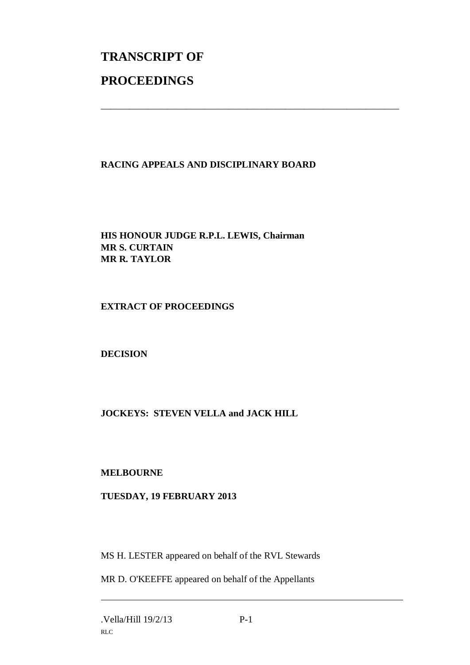# **TRANSCRIPT OF PROCEEDINGS**

### **RACING APPEALS AND DISCIPLINARY BOARD**

\_\_\_\_\_\_\_\_\_\_\_\_\_\_\_\_\_\_\_\_\_\_\_\_\_\_\_\_\_\_\_\_\_\_\_\_\_\_\_\_\_\_\_\_\_\_\_\_\_\_\_\_\_\_\_\_\_\_\_\_\_\_\_

#### **HIS HONOUR JUDGE R.P.L. LEWIS, Chairman MR S. CURTAIN MR R. TAYLOR**

#### **EXTRACT OF PROCEEDINGS**

#### **DECISION**

#### **JOCKEYS: STEVEN VELLA and JACK HILL**

#### **MELBOURNE**

#### **TUESDAY, 19 FEBRUARY 2013**

MS H. LESTER appeared on behalf of the RVL Stewards

MR D. O'KEEFFE appeared on behalf of the Appellants